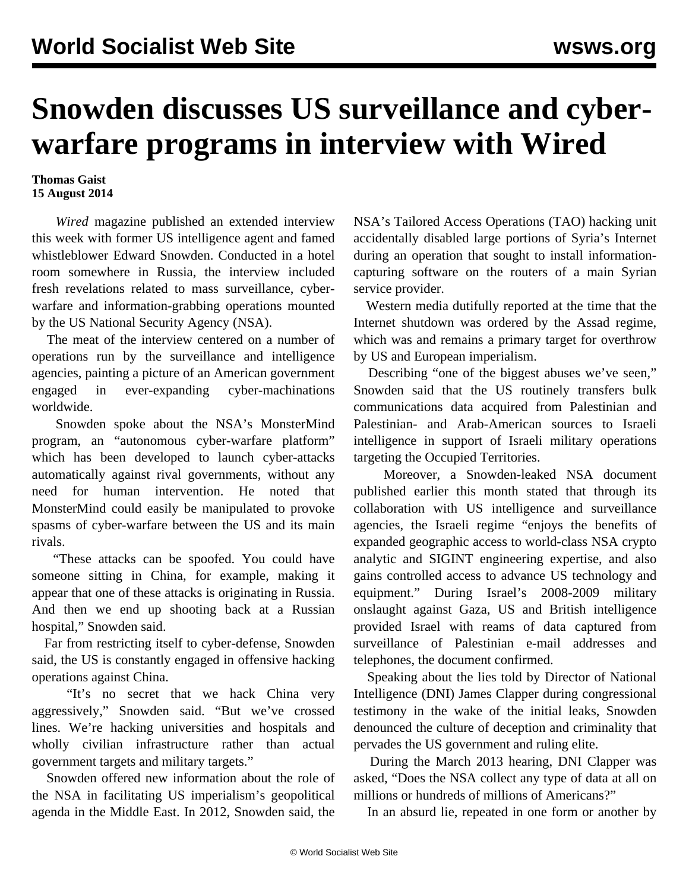## **Snowden discusses US surveillance and cyberwarfare programs in interview with Wired**

## **Thomas Gaist 15 August 2014**

 *Wired* magazine published an extended interview this week with former US intelligence agent and famed whistleblower Edward Snowden. Conducted in a hotel room somewhere in Russia, the interview included fresh revelations related to mass surveillance, cyberwarfare and information-grabbing operations mounted by the US National Security Agency (NSA).

 The meat of the interview centered on a number of operations run by the surveillance and intelligence agencies, painting a picture of an American government engaged in ever-expanding cyber-machinations worldwide.

 Snowden spoke about the NSA's MonsterMind program, an "autonomous cyber-warfare platform" which has been developed to launch cyber-attacks automatically against rival governments, without any need for human intervention. He noted that MonsterMind could easily be manipulated to provoke spasms of cyber-warfare between the US and its main rivals.

 "These attacks can be spoofed. You could have someone sitting in China, for example, making it appear that one of these attacks is originating in Russia. And then we end up shooting back at a Russian hospital," Snowden said.

 Far from restricting itself to cyber-defense, Snowden said, the US is constantly engaged in offensive hacking operations against China.

 "It's no secret that we hack China very aggressively," Snowden said. "But we've crossed lines. We're hacking universities and hospitals and wholly civilian infrastructure rather than actual government targets and military targets."

 Snowden offered new information about the role of the NSA in facilitating US imperialism's geopolitical agenda in the Middle East. In 2012, Snowden said, the NSA's Tailored Access Operations (TAO) hacking unit accidentally disabled large portions of Syria's Internet during an operation that sought to install informationcapturing software on the routers of a main Syrian service provider.

 Western media dutifully reported at the time that the Internet shutdown was ordered by the Assad regime, which was and remains a primary target for overthrow by US and European imperialism.

 Describing "one of the biggest abuses we've seen," Snowden said that the US routinely transfers bulk communications data acquired from Palestinian and Palestinian- and Arab-American sources to Israeli intelligence in support of Israeli military operations targeting the Occupied Territories.

 Moreover, a Snowden-leaked NSA document published earlier this month stated that through its collaboration with US intelligence and surveillance agencies, the Israeli regime "enjoys the benefits of expanded geographic access to world-class NSA crypto analytic and SIGINT engineering expertise, and also gains controlled access to advance US technology and equipment." During Israel's 2008-2009 military onslaught against Gaza, US and British intelligence provided Israel with reams of data captured from surveillance of Palestinian e-mail addresses and telephones, the document confirmed.

 Speaking about the lies told by Director of National Intelligence (DNI) James Clapper during congressional testimony in the wake of the initial leaks, Snowden denounced the culture of deception and criminality that pervades the US government and ruling elite.

 During the March 2013 hearing, DNI Clapper was asked, "Does the NSA collect any type of data at all on millions or hundreds of millions of Americans?"

In an absurd lie, repeated in one form or another by